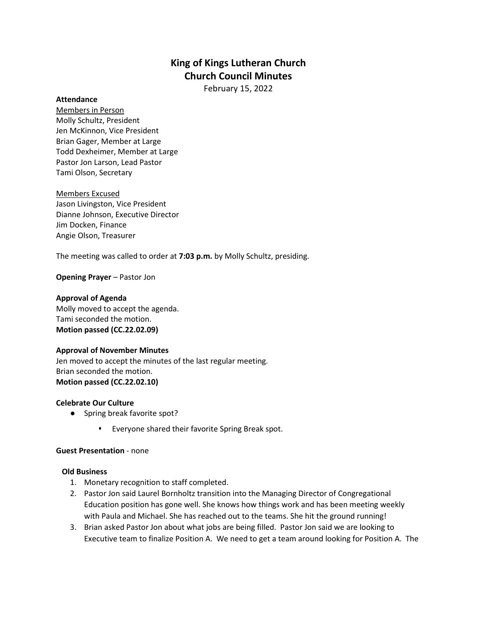# **King of Kings Lutheran Church Church Council Minutes**

February 15, 2022

#### **Attendance**

Members in Person Molly Schultz, President Jen McKinnon, Vice President Brian Gager, Member at Large Todd Dexheimer, Member at Large Pastor Jon Larson, Lead Pastor Tami Olson, Secretary

Members Excused Jason Livingston, Vice President Dianne Johnson, Executive Director Jim Docken, Finance Angie Olson, Treasurer

The meeting was called to order at **7:03 p.m.** by Molly Schultz, presiding.

**Opening Prayer** – Pastor Jon

## **Approval of Agenda**

Molly moved to accept the agenda. Tami seconded the motion. **Motion passed (CC.22.02.09)** 

## **Approval of November Minutes**

Jen moved to accept the minutes of the last regular meeting. Brian seconded the motion. **Motion passed (CC.22.02.10)** 

## **Celebrate Our Culture**

- Spring break favorite spot?
	- Everyone shared their favorite Spring Break spot.

## **Guest Presentation** - none

## **Old Business**

- 1. Monetary recognition to staff completed.
- 2. Pastor Jon said Laurel Bornholtz transition into the Managing Director of Congregational Education position has gone well. She knows how things work and has been meeting weekly with Paula and Michael. She has reached out to the teams. She hit the ground running!
- 3. Brian asked Pastor Jon about what jobs are being filled. Pastor Jon said we are looking to Executive team to finalize Position A. We need to get a team around looking for Position A. The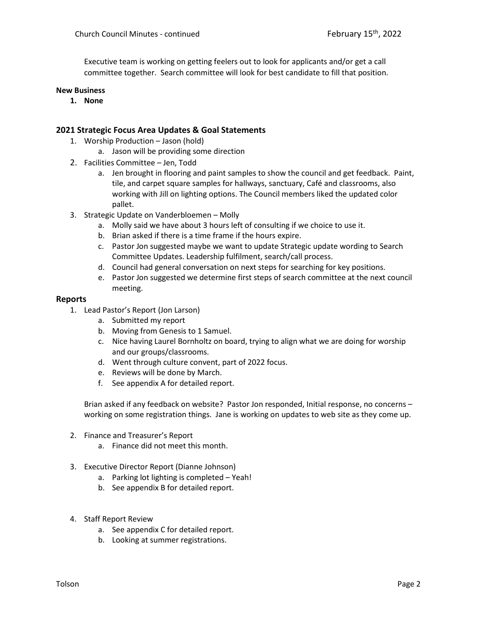Executive team is working on getting feelers out to look for applicants and/or get a call committee together. Search committee will look for best candidate to fill that position.

#### **New Business**

**1. None**

#### **2021 Strategic Focus Area Updates & Goal Statements**

- 1. Worship Production Jason (hold)
	- a. Jason will be providing some direction
- 2. Facilities Committee Jen, Todd
	- a. Jen brought in flooring and paint samples to show the council and get feedback. Paint, tile, and carpet square samples for hallways, sanctuary, Café and classrooms, also working with Jill on lighting options. The Council members liked the updated color pallet.
- 3. Strategic Update on Vanderbloemen Molly
	- a. Molly said we have about 3 hours left of consulting if we choice to use it.
	- b. Brian asked if there is a time frame if the hours expire.
	- c. Pastor Jon suggested maybe we want to update Strategic update wording to Search Committee Updates. Leadership fulfilment, search/call process.
	- d. Council had general conversation on next steps for searching for key positions.
	- e. Pastor Jon suggested we determine first steps of search committee at the next council meeting.

#### **Reports**

- 1. Lead Pastor's Report (Jon Larson)
	- a. Submitted my report
	- b. Moving from Genesis to 1 Samuel.
	- c. Nice having Laurel Bornholtz on board, trying to align what we are doing for worship and our groups/classrooms.
	- d. Went through culture convent, part of 2022 focus.
	- e. Reviews will be done by March.
	- f. See appendix A for detailed report.

Brian asked if any feedback on website? Pastor Jon responded, Initial response, no concerns – working on some registration things. Jane is working on updates to web site as they come up.

- 2. Finance and Treasurer's Report
	- a. Finance did not meet this month.
- 3. Executive Director Report (Dianne Johnson)
	- a. Parking lot lighting is completed Yeah!
	- b. See appendix B for detailed report.
- 4. Staff Report Review
	- a. See appendix C for detailed report.
	- b. Looking at summer registrations.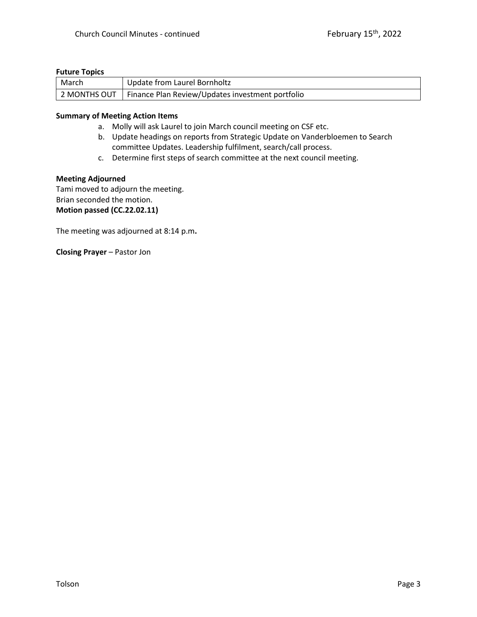## **Future Topics**

| March | Update from Laurel Bornholtz                                    |
|-------|-----------------------------------------------------------------|
|       | 2 MONTHS OUT   Finance Plan Review/Updates investment portfolio |

## **Summary of Meeting Action Items**

- a. Molly will ask Laurel to join March council meeting on CSF etc.
- b. Update headings on reports from Strategic Update on Vanderbloemen to Search committee Updates. Leadership fulfilment, search/call process.
- c. Determine first steps of search committee at the next council meeting.

#### **Meeting Adjourned**

Tami moved to adjourn the meeting. Brian seconded the motion. **Motion passed (CC.22.02.11)**

The meeting was adjourned at 8:14 p.m**.**

**Closing Prayer** – Pastor Jon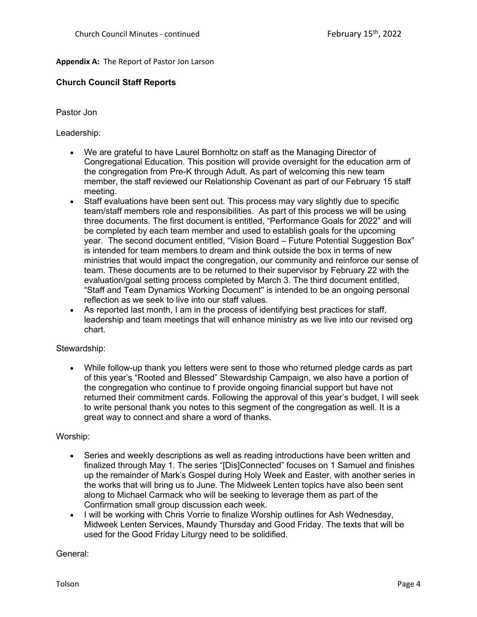# **Appendix A:** The Report of Pastor Jon Larson

# **Church Council Staff Reports**

# Pastor Jon

Leadership:

- We are grateful to have Laurel Bornholtz on staff as the Managing Director of Congregational Education. This position will provide oversight for the education arm of the congregation from Pre-K through Adult. As part of welcoming this new team member, the staff reviewed our Relationship Covenant as part of our February 15 staff meeting.
- Staff evaluations have been sent out. This process may vary slightly due to specific team/staff members role and responsibilities. As part of this process we will be using three documents. The first document is entitled, "Performance Goals for 2022" and will be completed by each team member and used to establish goals for the upcoming year. The second document entitled, "Vision Board – Future Potential Suggestion Box" is intended for team members to dream and think outside the box in terms of new ministries that would impact the congregation, our community and reinforce our sense of team. These documents are to be returned to their supervisor by February 22 with the evaluation/goal setting process completed by March 3. The third document entitled, "Staff and Team Dynamics Working Document'' is intended to be an ongoing personal reflection as we seek to live into our staff values.
- As reported last month, I am in the process of identifying best practices for staff, leadership and team meetings that will enhance ministry as we live into our revised org chart.

## Stewardship:

• While follow-up thank you letters were sent to those who returned pledge cards as part of this year's "Rooted and Blessed" Stewardship Campaign, we also have a portion of the congregation who continue to f provide ongoing financial support but have not returned their commitment cards. Following the approval of this year's budget, I will seek to write personal thank you notes to this segment of the congregation as well. It is a great way to connect and share a word of thanks.

## Worship:

- Series and weekly descriptions as well as reading introductions have been written and finalized through May 1. The series "[Dis]Connected" focuses on 1 Samuel and finishes up the remainder of Mark's Gospel during Holy Week and Easter, with another series in the works that will bring us to June. The Midweek Lenten topics have also been sent along to Michael Carmack who will be seeking to leverage them as part of the Confirmation small group discussion each week.
- I will be working with Chris Vorrie to finalize Worship outlines for Ash Wednesday, Midweek Lenten Services, Maundy Thursday and Good Friday. The texts that will be used for the Good Friday Liturgy need to be solidified.

General: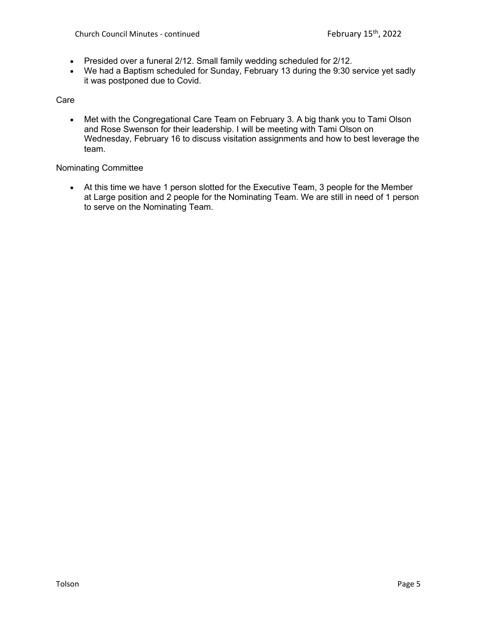- Presided over a funeral 2/12. Small family wedding scheduled for 2/12.
- We had a Baptism scheduled for Sunday, February 13 during the 9:30 service yet sadly it was postponed due to Covid.

Care

• Met with the Congregational Care Team on February 3. A big thank you to Tami Olson and Rose Swenson for their leadership. I will be meeting with Tami Olson on Wednesday, February 16 to discuss visitation assignments and how to best leverage the team.

Nominating Committee

• At this time we have 1 person slotted for the Executive Team, 3 people for the Member at Large position and 2 people for the Nominating Team. We are still in need of 1 person to serve on the Nominating Team.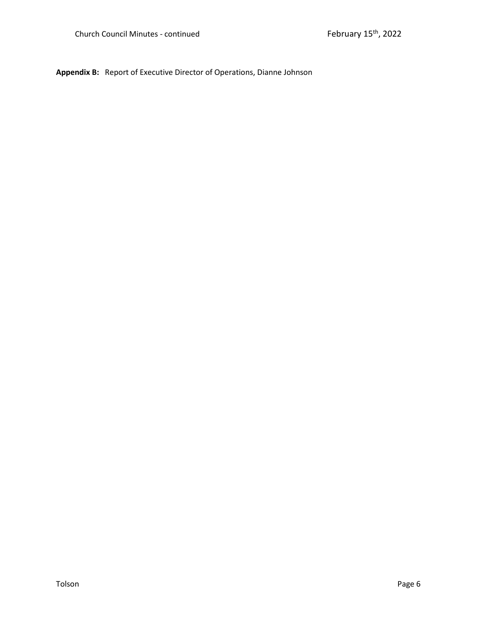**Appendix B:** Report of Executive Director of Operations, Dianne Johnson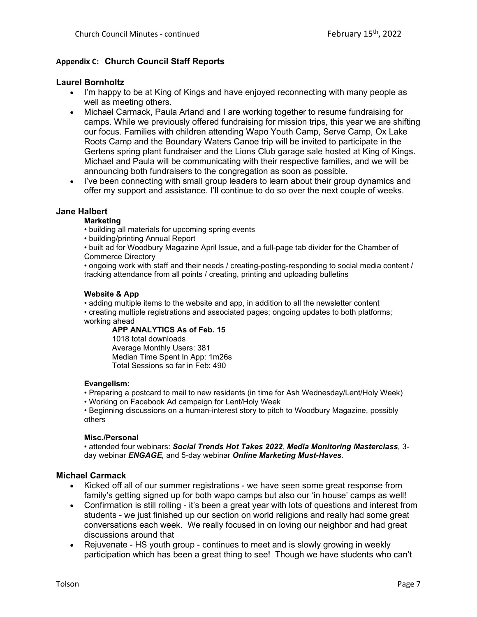# **Appendix C: Church Council Staff Reports**

## **Laurel Bornholtz**

- I'm happy to be at King of Kings and have enjoyed reconnecting with many people as well as meeting others.
- Michael Carmack, Paula Arland and I are working together to resume fundraising for camps. While we previously offered fundraising for mission trips, this year we are shifting our focus. Families with children attending Wapo Youth Camp, Serve Camp, Ox Lake Roots Camp and the Boundary Waters Canoe trip will be invited to participate in the Gertens spring plant fundraiser and the Lions Club garage sale hosted at King of Kings. Michael and Paula will be communicating with their respective families, and we will be announcing both fundraisers to the congregation as soon as possible.
- I've been connecting with small group leaders to learn about their group dynamics and offer my support and assistance. I'll continue to do so over the next couple of weeks.

## **Jane Halbert**

## **Marketing**

- building all materials for upcoming spring events
- building/printing Annual Report
- built ad for Woodbury Magazine April Issue, and a full-page tab divider for the Chamber of Commerce Directory

• ongoing work with staff and their needs / creating-posting-responding to social media content / tracking attendance from all points / creating, printing and uploading bulletins

#### **Website & App**

• adding multiple items to the website and app, in addition to all the newsletter content • creating multiple registrations and associated pages; ongoing updates to both platforms;

working ahead

## **APP ANALYTICS As of Feb. 15**

1018 total downloads Average Monthly Users: 381 Median Time Spent In App: 1m26s Total Sessions so far in Feb: 490

#### **Evangelism:**

- Preparing a postcard to mail to new residents (in time for Ash Wednesday/Lent/Holy Week)
- Working on Facebook Ad campaign for Lent/Holy Week

• Beginning discussions on a human-interest story to pitch to Woodbury Magazine, possibly others

## **Misc./Personal**

• attended four webinars: *Social Trends Hot Takes 2022, Media Monitoring Masterclass,* 3 day webinar *ENGAGE,* and 5-day webinar *Online Marketing Must-Haves.*

## **Michael Carmack**

- Kicked off all of our summer registrations we have seen some great response from family's getting signed up for both wapo camps but also our 'in house' camps as well!
- Confirmation is still rolling it's been a great year with lots of questions and interest from students - we just finished up our section on world religions and really had some great conversations each week. We really focused in on loving our neighbor and had great discussions around that
- Rejuvenate HS youth group continues to meet and is slowly growing in weekly participation which has been a great thing to see! Though we have students who can't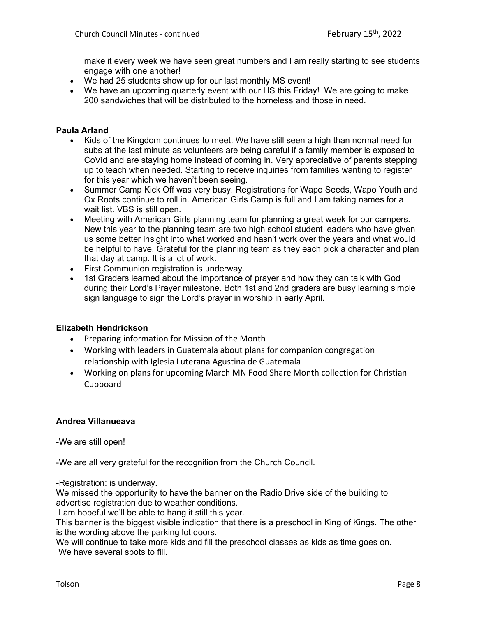make it every week we have seen great numbers and I am really starting to see students engage with one another!

- We had 25 students show up for our last monthly MS event!
- We have an upcoming quarterly event with our HS this Friday! We are going to make 200 sandwiches that will be distributed to the homeless and those in need.

## **Paula Arland**

- Kids of the Kingdom continues to meet. We have still seen a high than normal need for subs at the last minute as volunteers are being careful if a family member is exposed to CoVid and are staying home instead of coming in. Very appreciative of parents stepping up to teach when needed. Starting to receive inquiries from families wanting to register for this year which we haven't been seeing.
- Summer Camp Kick Off was very busy. Registrations for Wapo Seeds, Wapo Youth and Ox Roots continue to roll in. American Girls Camp is full and I am taking names for a wait list. VBS is still open.
- Meeting with American Girls planning team for planning a great week for our campers. New this year to the planning team are two high school student leaders who have given us some better insight into what worked and hasn't work over the years and what would be helpful to have. Grateful for the planning team as they each pick a character and plan that day at camp. It is a lot of work.
- First Communion registration is underway.
- 1st Graders learned about the importance of prayer and how they can talk with God during their Lord's Prayer milestone. Both 1st and 2nd graders are busy learning simple sign language to sign the Lord's prayer in worship in early April.

## **Elizabeth Hendrickson**

- Preparing information for Mission of the Month
- Working with leaders in Guatemala about plans for companion congregation relationship with Iglesia Luterana Agustina de Guatemala
- Working on plans for upcoming March MN Food Share Month collection for Christian Cupboard

# **Andrea Villanueava**

-We are still open!

-We are all very grateful for the recognition from the Church Council.

-Registration: is underway.

We missed the opportunity to have the banner on the Radio Drive side of the building to advertise registration due to weather conditions.

I am hopeful we'll be able to hang it still this year.

This banner is the biggest visible indication that there is a preschool in King of Kings. The other is the wording above the parking lot doors.

We will continue to take more kids and fill the preschool classes as kids as time goes on. We have several spots to fill.